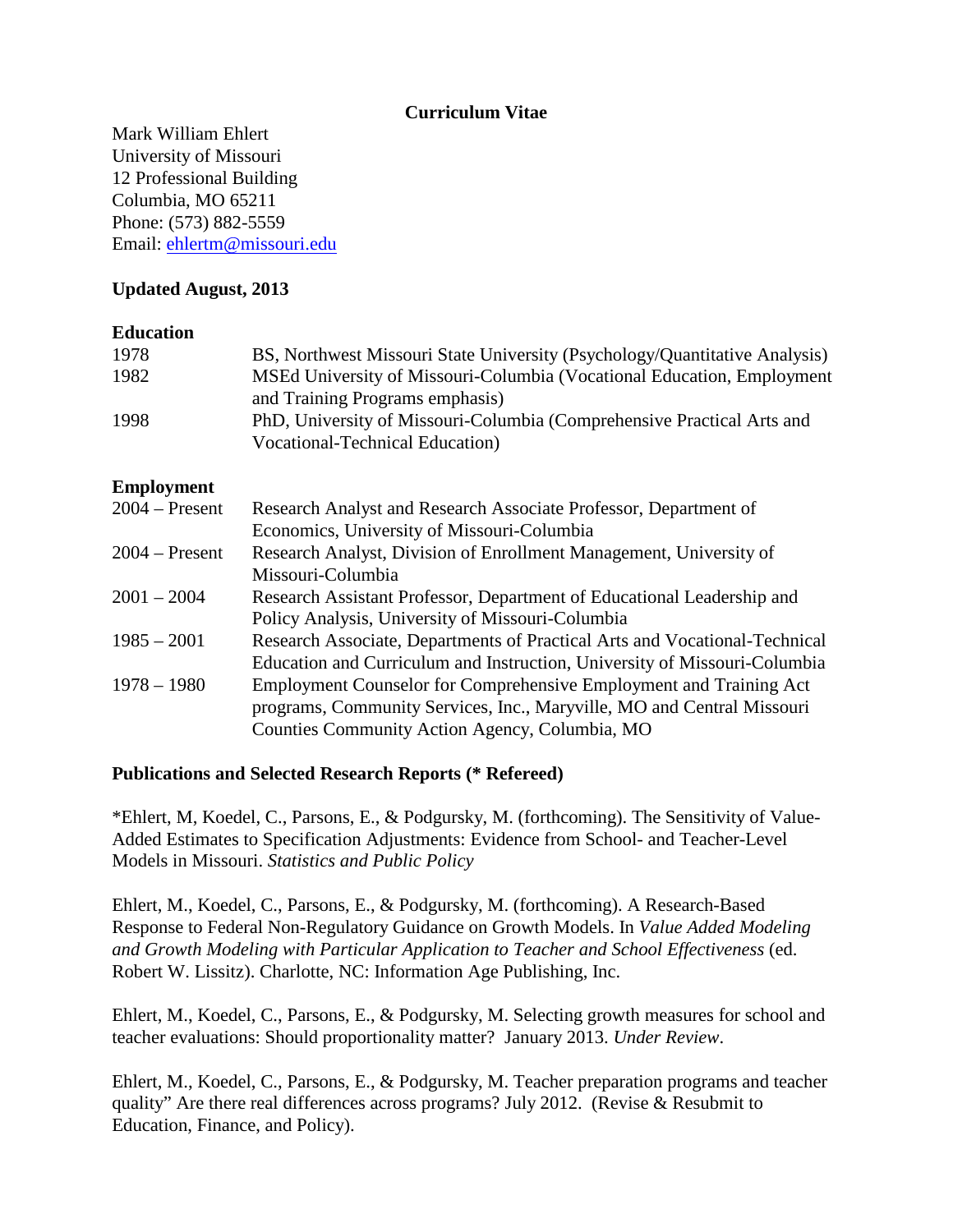### **Curriculum Vitae**

Mark William Ehlert University of Missouri 12 Professional Building Columbia, MO 65211 Phone: (573) 882-5559 Email: ehlertm@missouri.edu

# **Updated August, 2013**

#### **Education**

| 1978              | BS, Northwest Missouri State University (Psychology/Quantitative Analysis)                                                                                                                     |
|-------------------|------------------------------------------------------------------------------------------------------------------------------------------------------------------------------------------------|
| 1982              | MSEd University of Missouri-Columbia (Vocational Education, Employment<br>and Training Programs emphasis)                                                                                      |
| 1998              | PhD, University of Missouri-Columbia (Comprehensive Practical Arts and<br><b>Vocational-Technical Education</b> )                                                                              |
| <b>Employment</b> |                                                                                                                                                                                                |
| $2004 - Present$  | Research Analyst and Research Associate Professor, Department of<br>Economics, University of Missouri-Columbia                                                                                 |
| $2004 -$ Present  | Research Analyst, Division of Enrollment Management, University of<br>Missouri-Columbia                                                                                                        |
| $2001 - 2004$     | Research Assistant Professor, Department of Educational Leadership and<br>Policy Analysis, University of Missouri-Columbia                                                                     |
| $1985 - 2001$     | Research Associate, Departments of Practical Arts and Vocational-Technical<br>Education and Curriculum and Instruction, University of Missouri-Columbia                                        |
| $1978 - 1980$     | Employment Counselor for Comprehensive Employment and Training Act<br>programs, Community Services, Inc., Maryville, MO and Central Missouri<br>Counties Community Action Agency, Columbia, MO |

#### **Publications and Selected Research Reports (\* Refereed)**

\*Ehlert, M, Koedel, C., Parsons, E., & Podgursky, M. (forthcoming). The Sensitivity of Value-Added Estimates to Specification Adjustments: Evidence from School- and Teacher-Level Models in Missouri. *Statistics and Public Policy*

Ehlert, M., Koedel, C., Parsons, E., & Podgursky, M. (forthcoming). A Research-Based Response to Federal Non-Regulatory Guidance on Growth Models. In *Value Added Modeling and Growth Modeling with Particular Application to Teacher and School Effectiveness* (ed. Robert W. Lissitz). Charlotte, NC: Information Age Publishing, Inc.

Ehlert, M., Koedel, C., Parsons, E., & Podgursky, M. Selecting growth measures for school and teacher evaluations: Should proportionality matter? January 2013. *Under Review*.

Ehlert, M., Koedel, C., Parsons, E., & Podgursky, M. Teacher preparation programs and teacher quality" Are there real differences across programs? July 2012. (Revise & Resubmit to Education, Finance, and Policy).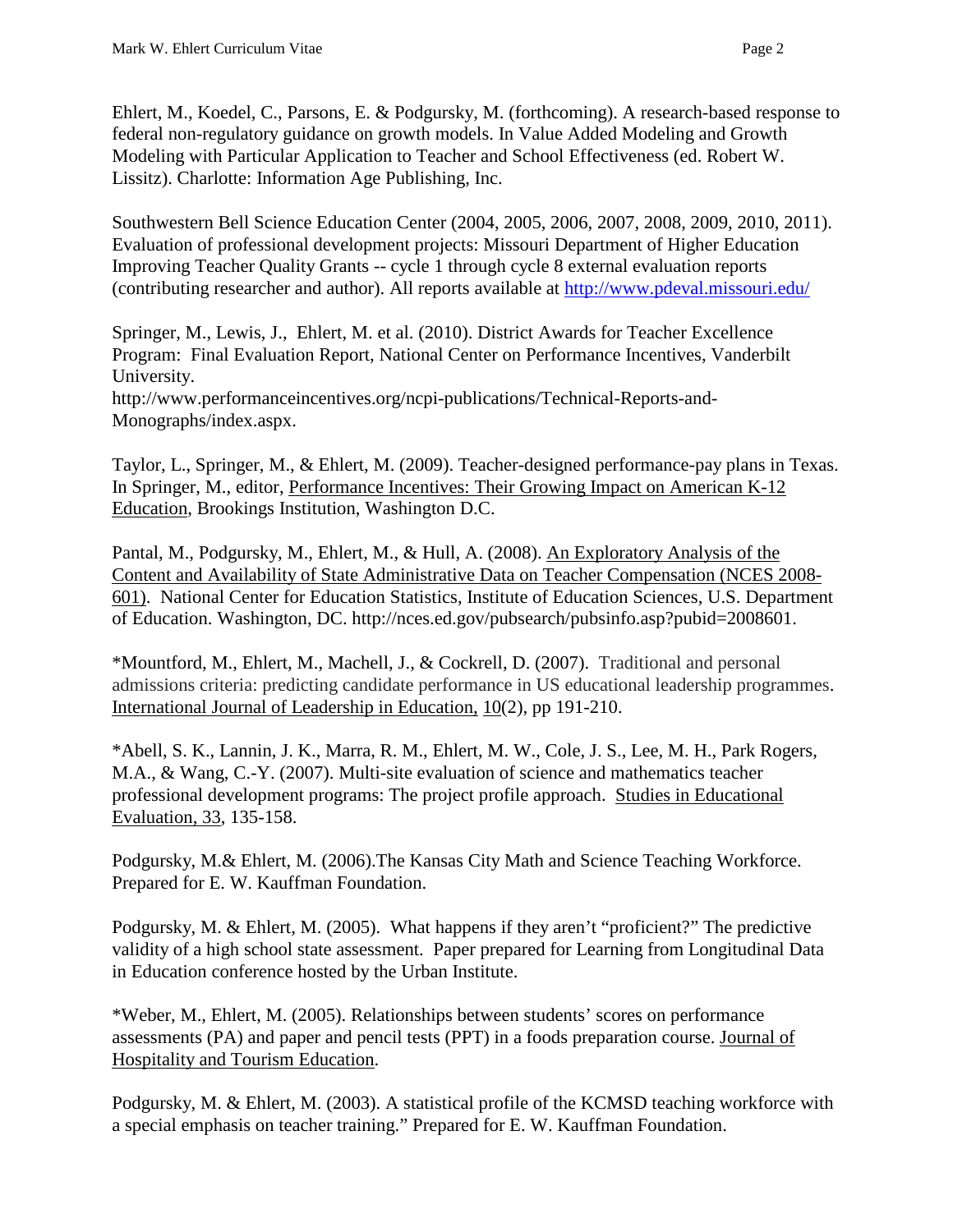Ehlert, M., Koedel, C., Parsons, E. & Podgursky, M. (forthcoming). A research-based response to federal non-regulatory guidance on growth models. In Value Added Modeling and Growth Modeling with Particular Application to Teacher and School Effectiveness (ed. Robert W. Lissitz). Charlotte: Information Age Publishing, Inc.

Southwestern Bell Science Education Center (2004, 2005, 2006, 2007, 2008, 2009, 2010, 2011). Evaluation of professional development projects: Missouri Department of Higher Education Improving Teacher Quality Grants -- cycle 1 through cycle 8 external evaluation reports (contributing researcher and author). All reports available at<http://www.pdeval.missouri.edu/>

Springer, M., Lewis, J., Ehlert, M. et al. (2010). District Awards for Teacher Excellence Program: Final Evaluation Report, National Center on Performance Incentives, Vanderbilt University.

http://www.performanceincentives.org/ncpi-publications/Technical-Reports-and-Monographs/index.aspx.

Taylor, L., Springer, M., & Ehlert, M. (2009). Teacher-designed performance-pay plans in Texas. In Springer, M., editor, Performance Incentives: Their Growing Impact on American K-12 Education, Brookings Institution, Washington D.C.

Pantal, M., Podgursky, M., Ehlert, M., & Hull, A. (2008). An Exploratory Analysis of the Content and Availability of State Administrative Data on Teacher Compensation (NCES 2008- 601). National Center for Education Statistics, Institute of Education Sciences, U.S. Department of Education. Washington, DC. http://nces.ed.gov/pubsearch/pubsinfo.asp?pubid=2008601.

\*Mountford, M., Ehlert, M., Machell, J., & Cockrell, D. (2007). Traditional and personal admissions criteria: predicting candidate performance in US educational leadership programmes. International Journal of Leadership in Education, 10(2), pp 191-210.

\*Abell, S. K., Lannin, J. K., Marra, R. M., Ehlert, M. W., Cole, J. S., Lee, M. H., Park Rogers, M.A., & Wang, C.-Y. (2007). Multi-site evaluation of science and mathematics teacher professional development programs: The project profile approach. Studies in Educational Evaluation, 33, 135-158.

Podgursky, M.& Ehlert, M. (2006).The Kansas City Math and Science Teaching Workforce. Prepared for E. W. Kauffman Foundation.

Podgursky, M. & Ehlert, M. (2005). What happens if they aren't "proficient?" The predictive validity of a high school state assessment. Paper prepared for Learning from Longitudinal Data in Education conference hosted by the Urban Institute.

\*Weber, M., Ehlert, M. (2005). Relationships between students' scores on performance assessments (PA) and paper and pencil tests (PPT) in a foods preparation course. Journal of Hospitality and Tourism Education.

Podgursky, M. & Ehlert, M. (2003). A statistical profile of the KCMSD teaching workforce with a special emphasis on teacher training." Prepared for E. W. Kauffman Foundation.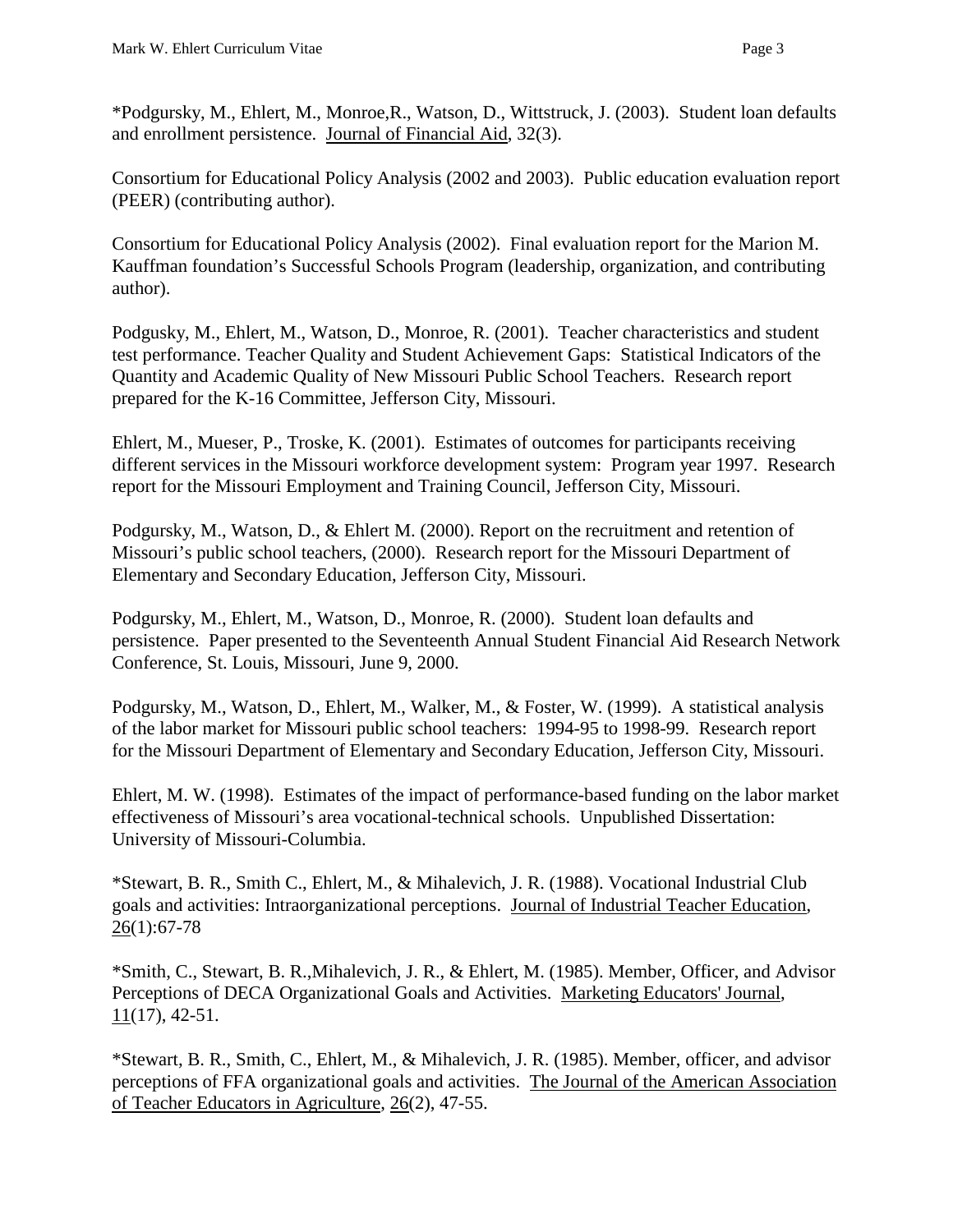\*Podgursky, M., Ehlert, M., Monroe,R., Watson, D., Wittstruck, J. (2003). Student loan defaults and enrollment persistence. Journal of Financial Aid, 32(3).

Consortium for Educational Policy Analysis (2002 and 2003). Public education evaluation report (PEER) (contributing author).

Consortium for Educational Policy Analysis (2002). Final evaluation report for the Marion M. Kauffman foundation's Successful Schools Program (leadership, organization, and contributing author).

Podgusky, M., Ehlert, M., Watson, D., Monroe, R. (2001). Teacher characteristics and student test performance. Teacher Quality and Student Achievement Gaps: Statistical Indicators of the Quantity and Academic Quality of New Missouri Public School Teachers. Research report prepared for the K-16 Committee, Jefferson City, Missouri.

Ehlert, M., Mueser, P., Troske, K. (2001). Estimates of outcomes for participants receiving different services in the Missouri workforce development system: Program year 1997. Research report for the Missouri Employment and Training Council, Jefferson City, Missouri.

Podgursky, M., Watson, D., & Ehlert M. (2000). Report on the recruitment and retention of Missouri's public school teachers, (2000). Research report for the Missouri Department of Elementary and Secondary Education, Jefferson City, Missouri.

Podgursky, M., Ehlert, M., Watson, D., Monroe, R. (2000). Student loan defaults and persistence. Paper presented to the Seventeenth Annual Student Financial Aid Research Network Conference, St. Louis, Missouri, June 9, 2000.

Podgursky, M., Watson, D., Ehlert, M., Walker, M., & Foster, W. (1999). A statistical analysis of the labor market for Missouri public school teachers: 1994-95 to 1998-99. Research report for the Missouri Department of Elementary and Secondary Education, Jefferson City, Missouri.

Ehlert, M. W. (1998). Estimates of the impact of performance-based funding on the labor market effectiveness of Missouri's area vocational-technical schools. Unpublished Dissertation: University of Missouri-Columbia.

\*Stewart, B. R., Smith C., Ehlert, M., & Mihalevich, J. R. (1988). Vocational Industrial Club goals and activities: Intraorganizational perceptions. Journal of Industrial Teacher Education, 26(1):67-78

\*Smith, C., Stewart, B. R.,Mihalevich, J. R., & Ehlert, M. (1985). Member, Officer, and Advisor Perceptions of DECA Organizational Goals and Activities. Marketing Educators' Journal,  $11(17)$ , 42-51.

\*Stewart, B. R., Smith, C., Ehlert, M., & Mihalevich, J. R. (1985). Member, officer, and advisor perceptions of FFA organizational goals and activities. The Journal of the American Association of Teacher Educators in Agriculture, 26(2), 47-55.